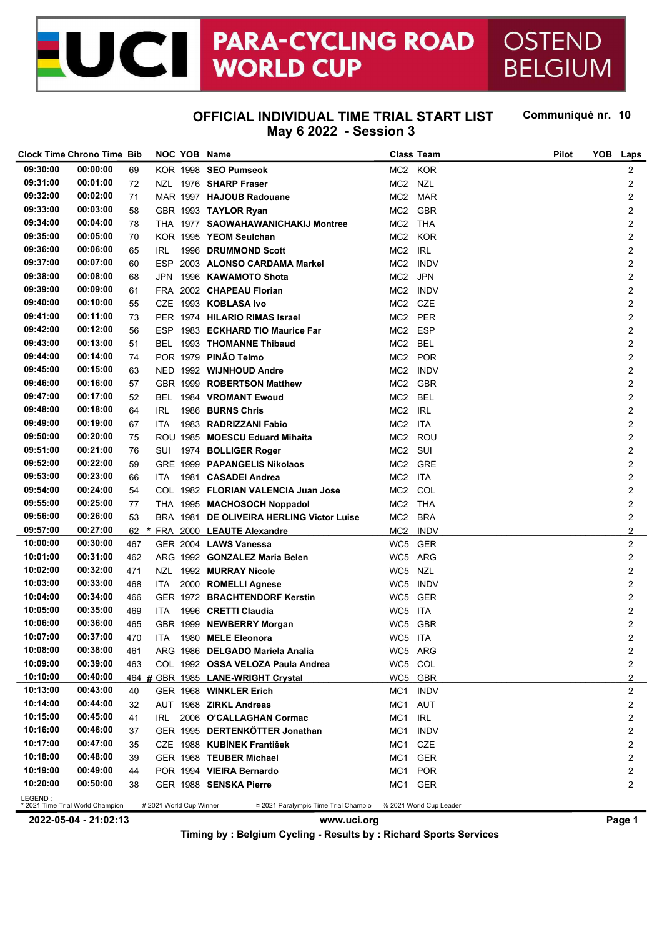## **PARA-CYCLING ROAD OSTEND** ICI **WORLD CUP BELGIUM**

## **OFFICIAL INDIVIDUAL TIME TRIAL START LIST May 6 2022 - Session 3**

Communiqué nr. 10

|          | <b>Clock Time Chrono Time Bib</b> |     |                         | NOC YOB Name                                                 |                 | <b>Class Team</b> | <b>Pilot</b> | YOB | Laps             |
|----------|-----------------------------------|-----|-------------------------|--------------------------------------------------------------|-----------------|-------------------|--------------|-----|------------------|
| 09:30:00 | 00:00:00                          | 69  |                         | KOR 1998 SEO Pumseok                                         |                 | MC2 KOR           |              |     | $\overline{c}$   |
| 09:31:00 | 00:01:00                          | 72  |                         | NZL 1976 SHARP Fraser                                        | MC2             | <b>NZL</b>        |              |     | 2                |
| 09:32:00 | 00:02:00                          | 71  |                         | MAR 1997 HAJOUB Radouane                                     | MC2 MAR         |                   |              |     | $\overline{c}$   |
| 09:33:00 | 00:03:00                          | 58  |                         | GBR 1993 TAYLOR Ryan                                         | MC2             | <b>GBR</b>        |              |     | $\overline{2}$   |
| 09:34:00 | 00:04:00                          | 78  |                         | THA 1977 SAOWAHAWANICHAKIJ Montree                           | MC2 THA         |                   |              |     | $\overline{2}$   |
| 09:35:00 | 00:05:00                          | 70  |                         | KOR 1995 YEOM Seulchan                                       | MC2 KOR         |                   |              |     | $\boldsymbol{2}$ |
| 09:36:00 | 00:06:00                          | 65  | IRL                     | 1996 DRUMMOND Scott                                          | MC2 IRL         |                   |              |     | $\boldsymbol{2}$ |
| 09:37:00 | 00:07:00                          | 60  | ESP.                    | 2003 ALONSO CARDAMA Markel                                   |                 | MC2 INDV          |              |     | $\boldsymbol{2}$ |
| 09:38:00 | 00:08:00                          | 68  | JPN                     | 1996 KAWAMOTO Shota                                          | MC2             | <b>JPN</b>        |              |     | $\boldsymbol{2}$ |
| 09:39:00 | 00:09:00                          | 61  | FRA                     | 2002 CHAPEAU Florian                                         |                 | MC2 INDV          |              |     | $\overline{2}$   |
| 09:40:00 | 00:10:00                          | 55  | CZE                     | 1993 KOBLASA Ivo                                             | MC2 CZE         |                   |              |     | $\overline{2}$   |
| 09:41:00 | 00:11:00                          | 73  |                         | PER 1974 HILARIO RIMAS Israel                                | MC2 PER         |                   |              |     | $\boldsymbol{2}$ |
| 09:42:00 | 00:12:00                          | 56  |                         | ESP 1983 ECKHARD TIO Maurice Far                             | MC2             | <b>ESP</b>        |              |     | $\boldsymbol{2}$ |
| 09:43:00 | 00:13:00                          | 51  | BEL                     | 1993 THOMANNE Thibaud                                        | MC2             | <b>BEL</b>        |              |     | $\boldsymbol{2}$ |
| 09:44:00 | 00:14:00                          | 74  |                         | POR 1979 PINÃO Telmo                                         | MC2             | <b>POR</b>        |              |     | $\boldsymbol{2}$ |
| 09:45:00 | 00:15:00                          | 63  |                         | NED 1992 WIJNHOUD Andre                                      |                 | MC2 INDV          |              |     | $\overline{2}$   |
| 09:46:00 | 00:16:00                          | 57  |                         | GBR 1999 ROBERTSON Matthew                                   | MC2             | <b>GBR</b>        |              |     | $\overline{2}$   |
| 09:47:00 | 00:17:00                          |     |                         | BEL 1984 VROMANT Ewoud                                       | MC <sub>2</sub> | <b>BEL</b>        |              |     |                  |
| 09:48:00 | 00:18:00                          | 52  |                         | 1986 BURNS Chris                                             |                 | <b>IRL</b>        |              |     | $\boldsymbol{2}$ |
| 09:49:00 | 00:19:00                          | 64  | IRL                     |                                                              | MC2             |                   |              |     | $\boldsymbol{2}$ |
|          |                                   | 67  | ITA.                    | 1983 RADRIZZANI Fabio                                        | MC2 ITA         |                   |              |     | $\boldsymbol{2}$ |
| 09:50:00 | 00:20:00                          | 75  |                         | ROU 1985 MOESCU Eduard Mihaita                               | MC <sub>2</sub> | ROU               |              |     | $\boldsymbol{2}$ |
| 09:51:00 | 00:21:00                          | 76  |                         | SUI 1974 BOLLIGER Roger                                      | MC2 SUI         |                   |              |     | $\overline{2}$   |
| 09:52:00 | 00:22:00                          | 59  |                         | GRE 1999 PAPANGELIS Nikolaos                                 | MC2 GRE         |                   |              |     | $\overline{2}$   |
| 09:53:00 | 00:23:00                          | 66  | ITA.                    | 1981 CASADEI Andrea                                          | MC2 ITA         |                   |              |     | $\boldsymbol{2}$ |
| 09:54:00 | 00:24:00                          | 54  |                         | COL 1982 FLORIAN VALENCIA Juan Jose                          | MC2             | COL               |              |     | $\boldsymbol{2}$ |
| 09:55:00 | 00:25:00                          | 77  |                         | THA 1995 MACHOSOCH Noppadol                                  | MC2 THA         |                   |              |     | $\boldsymbol{2}$ |
| 09:56:00 | 00:26:00                          | 53  |                         | BRA 1981 DE OLIVEIRA HERLING Victor Luise                    | MC2 BRA         |                   |              |     | $\overline{c}$   |
| 09:57:00 | 00:27:00                          |     |                         | 62 * FRA 2000 LEAUTE Alexandre                               |                 | MC2 INDV          |              |     | $\overline{2}$   |
| 10:00:00 | 00:30:00                          | 467 |                         | GER 2004 LAWS Vanessa                                        |                 | WC5 GER           |              |     | $\overline{c}$   |
| 10:01:00 | 00:31:00                          | 462 |                         | ARG 1992 GONZALEZ Maria Belen                                | WC5 ARG         |                   |              |     | $\boldsymbol{2}$ |
| 10:02:00 | 00:32:00                          | 471 | NZL                     | 1992 MURRAY Nicole                                           | WC5 NZL         |                   |              |     | $\boldsymbol{2}$ |
| 10:03:00 | 00:33:00                          | 468 | ITA.                    | 2000 ROMELLI Agnese                                          |                 | WC5 INDV          |              |     | $\overline{c}$   |
| 10:04:00 | 00:34:00                          | 466 |                         | GER 1972 BRACHTENDORF Kerstin                                |                 | WC5 GER           |              |     | $\overline{2}$   |
| 10:05:00 | 00:35:00                          | 469 | ITA                     | 1996 CRETTI Claudia                                          | WC5 ITA         |                   |              |     | $\overline{2}$   |
| 10:06:00 | 00:36:00                          | 465 |                         | GBR 1999 NEWBERRY Morgan                                     | WC5             | <b>GBR</b>        |              |     | $\overline{c}$   |
| 10:07:00 | 00:37:00                          | 470 | <b>ITA</b>              | 1980 MELE Eleonora                                           | WC5 ITA         |                   |              |     | $\overline{2}$   |
| 10:08:00 | 00:38:00                          | 461 |                         | ARG 1986 DELGADO Mariela Analia                              |                 | WC5 ARG           |              |     | 2                |
| 10:09:00 | 00:39:00                          | 463 |                         | COL 1992 OSSA VELOZA Paula Andrea                            | WC5 COL         |                   |              |     | 2                |
| 10:10:00 | 00:40:00                          |     |                         | 464 # GBR 1985 LANE-WRIGHT Crystal                           |                 | WC5 GBR           |              |     | $\overline{2}$   |
| 10:13:00 | 00:43:00                          | 40  |                         | GER 1968 WINKLER Erich                                       |                 | MC1 INDV          |              |     | $\overline{2}$   |
| 10:14:00 | 00:44:00                          | 32  |                         | AUT 1968 ZIRKL Andreas                                       | MC1 AUT         |                   |              |     | 2                |
| 10:15:00 | 00:45:00                          | 41  | IRL.                    | 2006 O'CALLAGHAN Cormac                                      | MC1 IRL         |                   |              |     | 2                |
| 10:16:00 | 00:46:00                          | 37  |                         | GER 1995 DERTENKÖTTER Jonathan                               | MC1             | <b>INDV</b>       |              |     | 2                |
| 10:17:00 | 00:47:00                          | 35  |                         | CZE 1988 KUBÍNEK František                                   | MC1 CZE         |                   |              |     | 2                |
| 10:18:00 | 00:48:00                          | 39  |                         | GER 1968 TEUBER Michael                                      |                 | MC1 GER           |              |     | 2                |
| 10:19:00 | 00:49:00                          | 44  |                         | POR 1994 VIEIRA Bernardo                                     | MC1             | <b>POR</b>        |              |     | 2                |
| 10:20:00 | 00:50:00                          | 38  |                         | GER 1988 SENSKA Pierre                                       |                 | MC1 GER           |              |     | $\overline{c}$   |
| LEGEND:  | * 2021 Time Trial World Champion  |     | # 2021 World Cup Winner | ¤ 2021 Paralympic Time Trial Champio % 2021 World Cup Leader |                 |                   |              |     |                  |

**2022-05-04 - 21:02:13 www.uci.org Page 1 Timing by : Belgium Cycling - Results by : Richard Sports Services**